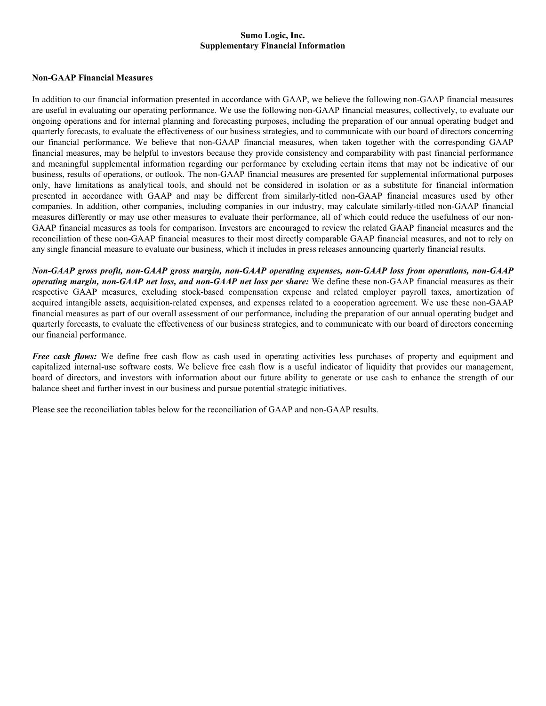### **Sumo Logic, Inc. Supplementary Financial Information**

#### **Non-GAAP Financial Measures**

In addition to our financial information presented in accordance with GAAP, we believe the following non-GAAP financial measures are useful in evaluating our operating performance. We use the following non-GAAP financial measures, collectively, to evaluate our ongoing operations and for internal planning and forecasting purposes, including the preparation of our annual operating budget and quarterly forecasts, to evaluate the effectiveness of our business strategies, and to communicate with our board of directors concerning our financial performance. We believe that non-GAAP financial measures, when taken together with the corresponding GAAP financial measures, may be helpful to investors because they provide consistency and comparability with past financial performance and meaningful supplemental information regarding our performance by excluding certain items that may not be indicative of our business, results of operations, or outlook. The non-GAAP financial measures are presented for supplemental informational purposes only, have limitations as analytical tools, and should not be considered in isolation or as a substitute for financial information presented in accordance with GAAP and may be different from similarly-titled non-GAAP financial measures used by other companies. In addition, other companies, including companies in our industry, may calculate similarly-titled non-GAAP financial measures differently or may use other measures to evaluate their performance, all of which could reduce the usefulness of our non-GAAP financial measures as tools for comparison. Investors are encouraged to review the related GAAP financial measures and the reconciliation of these non-GAAP financial measures to their most directly comparable GAAP financial measures, and not to rely on any single financial measure to evaluate our business, which it includes in press releases announcing quarterly financial results.

*Non-GAAP gross profit, non-GAAP gross margin, non-GAAP operating expenses, non-GAAP loss from operations, non-GAAP operating margin, non-GAAP net loss, and non-GAAP net loss per share:* We define these non-GAAP financial measures as their respective GAAP measures, excluding stock-based compensation expense and related employer payroll taxes, amortization of acquired intangible assets, acquisition-related expenses, and expenses related to a cooperation agreement. We use these non-GAAP financial measures as part of our overall assessment of our performance, including the preparation of our annual operating budget and quarterly forecasts, to evaluate the effectiveness of our business strategies, and to communicate with our board of directors concerning our financial performance.

*Free cash flows:* We define free cash flow as cash used in operating activities less purchases of property and equipment and capitalized internal-use software costs. We believe free cash flow is a useful indicator of liquidity that provides our management, board of directors, and investors with information about our future ability to generate or use cash to enhance the strength of our balance sheet and further invest in our business and pursue potential strategic initiatives.

Please see the reconciliation tables below for the reconciliation of GAAP and non-GAAP results.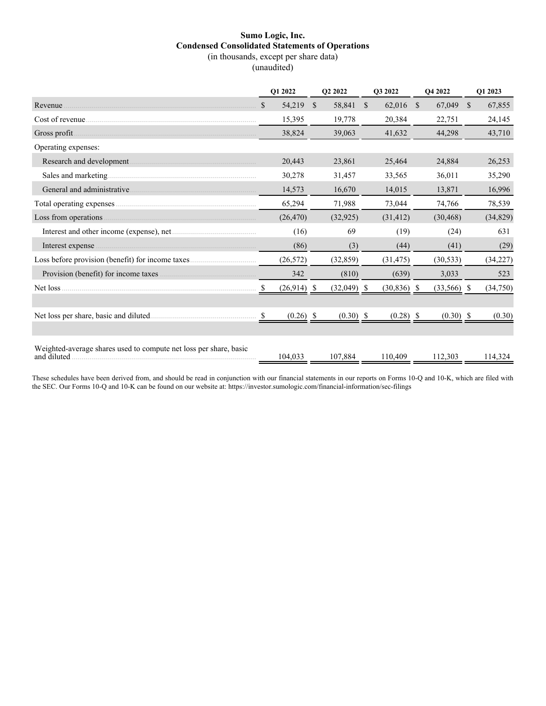## **Sumo Logic, Inc. Condensed Consolidated Statements of Operations** (in thousands, except per share data)

(unaudited)

|                                                                   |     | O1 2022       |          | O2 2022       |                    | O3 2022       | O4 2022       |              | O1 2023   |
|-------------------------------------------------------------------|-----|---------------|----------|---------------|--------------------|---------------|---------------|--------------|-----------|
| Revenue                                                           | \$  | 54,219        | <b>S</b> | 58,841        | $\mathbf{\hat{s}}$ | $62,016$ \$   | 67,049        | <sup>S</sup> | 67,855    |
|                                                                   |     | 15,395        |          | 19,778        |                    | 20,384        | 22,751        |              | 24,145    |
| Gross profit                                                      |     | 38,824        |          | 39,063        |                    | 41,632        | 44,298        |              | 43,710    |
| Operating expenses:                                               |     |               |          |               |                    |               |               |              |           |
| Research and development <b>Manual</b>                            |     | 20,443        |          | 23,861        |                    | 25,464        | 24,884        |              | 26,253    |
| Sales and marketing.                                              |     | 30,278        |          | 31,457        |                    | 33,565        | 36,011        |              | 35,290    |
| General and administrative manufactured and administrative        |     | 14,573        |          | 16,670        |                    | 14,015        | 13,871        |              | 16,996    |
|                                                                   |     | 65,294        |          | 71,988        |                    | 73,044        | 74,766        |              | 78,539    |
|                                                                   |     | (26, 470)     |          | (32, 925)     |                    | (31, 412)     | (30, 468)     |              | (34, 829) |
| Interest and other income (expense), net                          |     | (16)          |          | 69            |                    | (19)          | (24)          |              | 631       |
|                                                                   |     | (86)          |          | (3)           |                    | (44)          | (41)          |              | (29)      |
|                                                                   |     | (26, 572)     |          | (32, 859)     |                    | (31, 475)     | (30, 533)     |              | (34, 227) |
|                                                                   |     | 342           |          | (810)         |                    | (639)         | 3,033         |              | 523       |
|                                                                   | -S  | $(26,914)$ \$ |          | $(32,049)$ \$ |                    | $(30,836)$ \$ | $(33,566)$ \$ |              | (34,750)  |
|                                                                   |     |               |          |               |                    |               |               |              |           |
| Net loss per share, basic and diluted                             | -\$ | $(0.26)$ \$   |          | $(0.30)$ \$   |                    | $(0.28)$ \$   | $(0.30)$ \$   |              | (0.30)    |
|                                                                   |     |               |          |               |                    |               |               |              |           |
| Weighted-average shares used to compute net loss per share, basic |     |               |          |               |                    |               |               |              |           |
| and diluted                                                       |     | 104,033       |          | 107,884       |                    | 110,409       | 112,303       |              | 114,324   |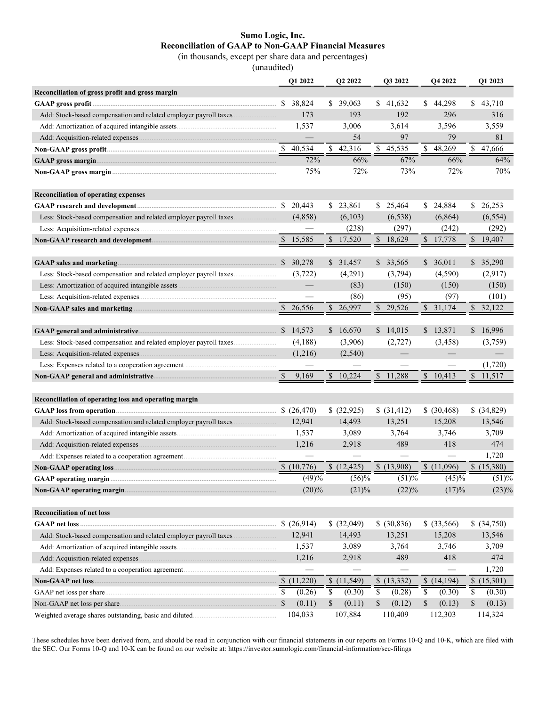# **Sumo Logic, Inc. Reconciliation of GAAP to Non-GAAP Financial Measures**

(in thousands, except per share data and percentages)

(unaudited)

|                                                                  |               | Q1 2022     |              | Q2 2022           |    | Q3 2022         |                | Q4 2022           |               | Q1 2023      |
|------------------------------------------------------------------|---------------|-------------|--------------|-------------------|----|-----------------|----------------|-------------------|---------------|--------------|
| Reconciliation of gross profit and gross margin                  |               |             |              |                   |    |                 |                |                   |               |              |
|                                                                  | S.            | 38,824      | S.           | 39,063            | S. | 41,632          | S.             | 44,298            | \$            | 43,710       |
|                                                                  |               | 173         |              | 193               |    | 192             |                | 296               |               | 316          |
|                                                                  |               | 1,537       |              | 3,006             |    | 3,614           |                | 3,596             |               | 3,559        |
| Add: Acquisition-related expenses                                |               |             |              | 54                |    | 97              |                | 79                |               | 81           |
|                                                                  |               |             |              | \$42,316          |    | \$45,535        |                | \$48,269          | S.            | 47,666       |
|                                                                  |               | 72%         |              | 66%               |    | 67%             |                | 66%               |               | 64%          |
|                                                                  |               | 75%         |              | 72%               |    | 73%             |                | 72%               |               | 70%          |
| <b>Reconciliation of operating expenses</b>                      |               |             |              |                   |    |                 |                |                   |               |              |
|                                                                  |               |             |              | \$23,861          |    | \$25,464        |                | \$ 24,884         |               | \$26,253     |
|                                                                  |               | (4,858)     |              | (6,103)           |    | (6,538)         |                | (6,864)           |               | (6, 554)     |
|                                                                  |               |             |              | (238)             |    | (297)           |                | (242)             |               | (292)        |
|                                                                  |               | \$15,585    |              | \$17,520          |    | \$18,629        |                | \$17,778          |               | \$19,407     |
|                                                                  |               |             |              |                   |    |                 |                |                   |               |              |
|                                                                  |               | \$30,278    |              | \$31,457          |    | \$33,565        |                | \$36,011          |               | \$35,290     |
|                                                                  |               | (3,722)     |              | (4,291)           |    | (3,794)         |                | (4,590)           |               | (2,917)      |
|                                                                  |               |             |              | (83)              |    | (150)           |                | (150)             |               | (150)        |
|                                                                  |               |             |              | (86)              |    | (95)            |                | (97)              |               | (101)        |
|                                                                  |               | 26,556      | \$           | 26,997            |    | 29,526          |                | \$31,174          |               | \$32,122     |
|                                                                  |               |             |              |                   |    |                 |                |                   |               |              |
|                                                                  |               | \$14,573    |              | \$16,670          |    | \$14,015        |                | \$13,871          |               | \$16,996     |
|                                                                  |               | (4,188)     |              | (3,906)           |    | (2,727)         |                | (3,458)           |               | (3,759)      |
| Less: Acquisition-related expenses.                              |               | (1,216)     |              | (2,540)           |    |                 |                |                   |               |              |
|                                                                  |               |             |              |                   |    |                 |                |                   |               | (1,720)      |
|                                                                  |               | 9,169       | $\mathbb{S}$ | 10,224            |    | \$11,288        | $\mathbb{S}^-$ | 10,413            | $\mathcal{S}$ | 11,517       |
|                                                                  |               |             |              |                   |    |                 |                |                   |               |              |
| Reconciliation of operating loss and operating margin            |               |             |              |                   |    |                 |                |                   |               |              |
|                                                                  |               | \$(26, 470) |              | \$ (32,925)       |    | \$ (31, 412)    |                | \$ (30, 468)      |               | $$$ (34,829) |
|                                                                  |               | 12,941      |              | 14,493            |    | 13,251          |                | 15,208            |               | 13,546       |
|                                                                  |               | 1,537       |              | 3,089             |    | 3,764           |                | 3,746             |               | 3,709        |
| Add: Acquisition-related expenses.                               |               | 1,216       |              | 2,918             |    | 489             |                | 418               |               | 474          |
|                                                                  |               |             |              |                   |    |                 |                |                   |               | 1,720        |
|                                                                  |               |             |              | \$(12, 425)       |    | \$(13,908)      |                | \$(11,096)        |               | \$(15,380)   |
|                                                                  |               | (49)%       |              | (56)%<br>$(21)\%$ |    | $\sqrt{(51)\%}$ |                | $(45)\%$<br>(17)% |               | (51)%        |
|                                                                  |               | $(20)\%$    |              |                   |    | $(22)\%$        |                |                   |               | $(23)\%$     |
| <b>Reconciliation of net loss</b>                                |               |             |              |                   |    |                 |                |                   |               |              |
|                                                                  |               | \$(26,914)  |              | \$ (32,049)       |    | \$ (30,836)     |                | \$ (33,566)       |               | \$ (34,750)  |
| Add: Stock-based compensation and related employer payroll taxes |               | 12,941      |              | 14,493            |    | 13,251          |                | 15,208            |               | 13,546       |
|                                                                  |               | 1,537       |              | 3,089             |    | 3,764           |                | 3,746             |               | 3,709        |
|                                                                  |               | 1,216       |              | 2,918             |    | 489             |                | 418               |               | 474          |
|                                                                  |               |             |              |                   |    |                 |                |                   |               | 1,720        |
|                                                                  |               |             |              | \$(11,549)        |    | \$(13,332)      |                | \$(14,194)        |               | \$(15,301)   |
|                                                                  | <sup>\$</sup> | (0.26)      | \$           | (0.30)            | \$ | (0.28)          | \$             | (0.30)            | \$            | (0.30)       |
|                                                                  | <sup>S</sup>  | (0.11)      | \$           | (0.11)            | \$ | (0.12)          | \$             | (0.13)            | \$            | (0.13)       |
|                                                                  |               | 104,033     |              | 107,884           |    | 110,409         |                | 112,303           |               | 114,324      |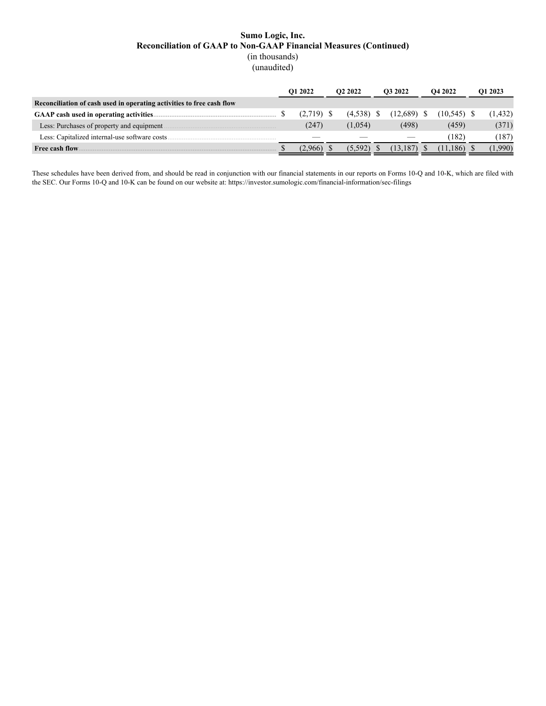### **Sumo Logic, Inc. Reconciliation of GAAP to Non-GAAP Financial Measures (Continued)** (in thousands) (unaudited)

|                                                                                       | O1 2022 |              | O <sub>2</sub> 2022 |              | O3 2022 |               | O <sub>4</sub> 2022 |          | O1 2023  |
|---------------------------------------------------------------------------------------|---------|--------------|---------------------|--------------|---------|---------------|---------------------|----------|----------|
| Reconciliation of cash used in operating activities to free cash flow                 |         |              |                     |              |         |               |                     |          |          |
|                                                                                       |         | $(2.719)$ \$ |                     | $(4,538)$ \$ |         | $(12,689)$ \$ |                     | (10.545) | (1, 432) |
| Less: Purchases of property and equipment manufactured and the property and equipment |         | (247)        |                     | (1,054)      |         | (498)         |                     | (459)    | (371)    |
| Less: Capitalized internal-use software costs                                         |         |              |                     |              |         |               |                     | 182)     | (187)    |
| Free cash flow.                                                                       |         | 2.966)       |                     | (5, 592)     |         | .187          |                     | 186)     | 1,990)   |